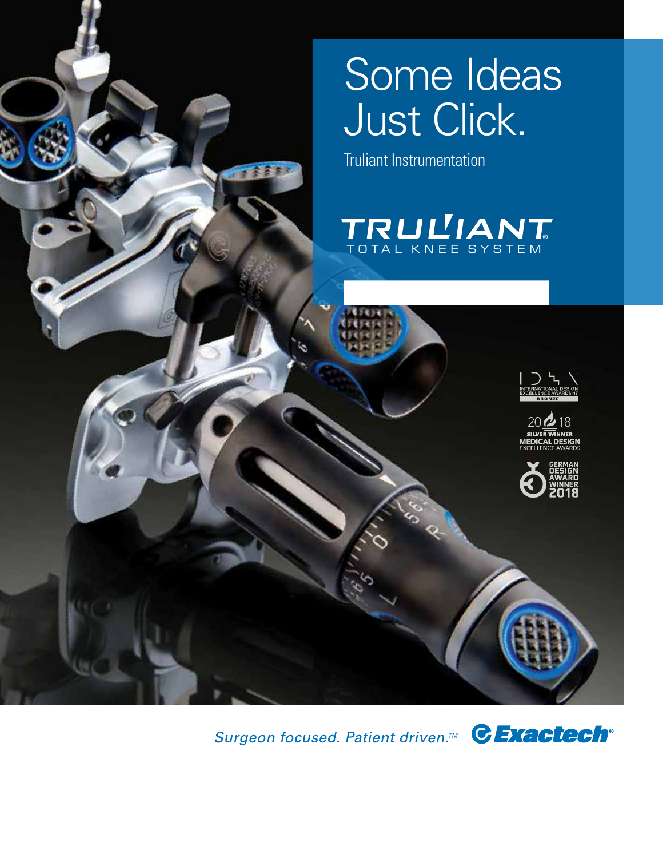# Some Ideas Just Click.

Truliant Instrumentation

全合金







Surgeon focused. Patient driven.<sup>™</sup> CExactech<sup>®</sup>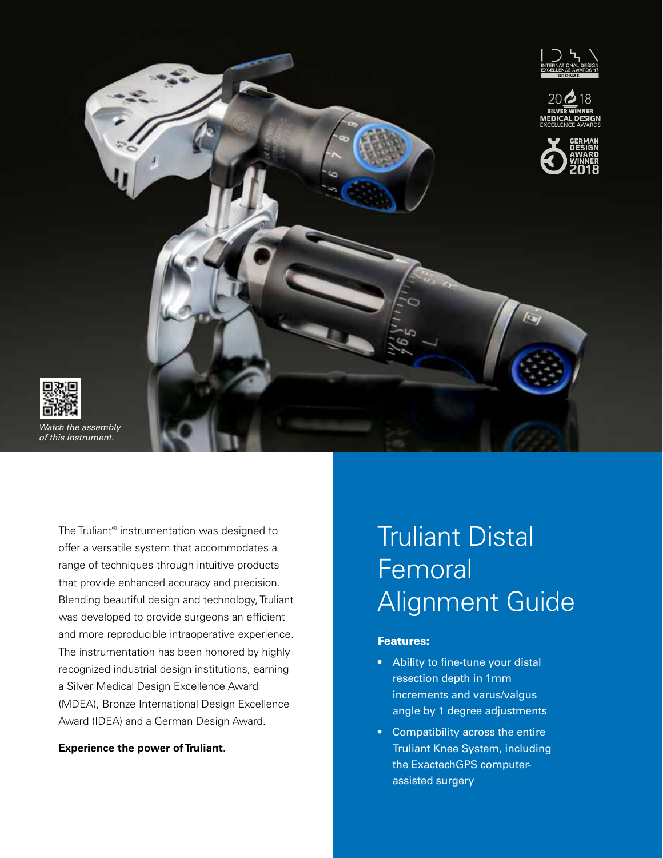

The Truliant® instrumentation was designed to offer a versatile system that accommodates a range of techniques through intuitive products that provide enhanced accuracy and precision. Blending beautiful design and technology, Truliant was developed to provide surgeons an efficient and more reproducible intraoperative experience. The instrumentation has been honored by highly recognized industrial design institutions, earning a Silver Medical Design Excellence Award (MDEA), Bronze International Design Excellence Award (IDEA) and a German Design Award.

**Experience the power of Truliant.**

## Truliant Distal Femoral Alignment Guide

#### Features:

- Ability to fine-tune your distal resection depth in 1mm increments and varus/valgus angle by 1 degree adjustments
- Compatibility across the entire Truliant Knee System, including the ExactechGPS computerassisted surgery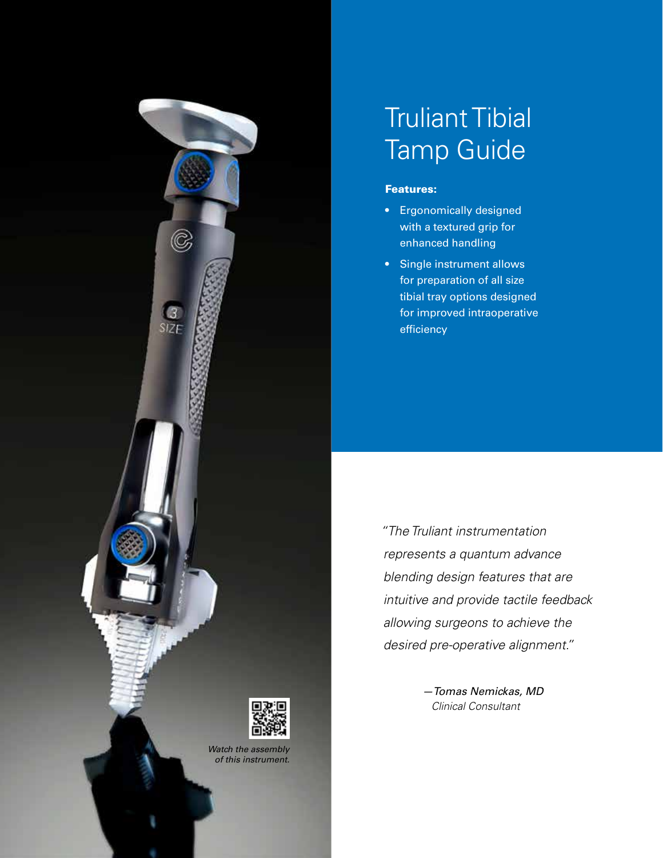

### Truliant Tibial Tamp Guide

#### Features:

- Ergonomically designed with a textured grip for enhanced handling
- Single instrument allows for preparation of all size tibial tray options designed for improved intraoperative efficiency

 *"The Truliant instrumentation represents a quantum advance blending design features that are intuitive and provide tactile feedback allowing surgeons to achieve the desired pre-operative alignment."*

> *—Tomas Nemickas, MD Clinical Consultant*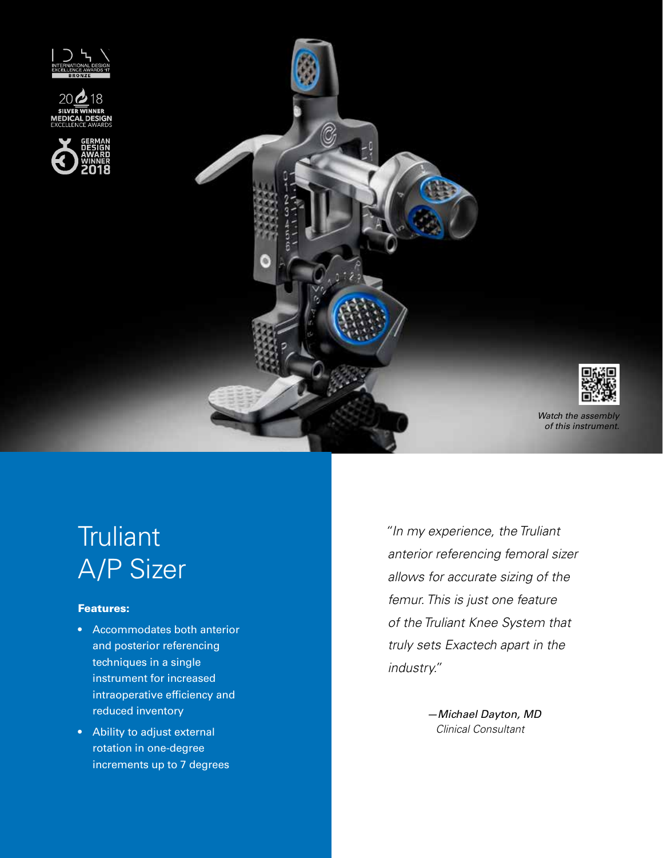









*Watch the assembly of this instrument.*

# **Truliant** A/P Sizer

### Features:

- Accommodates both anterior and posterior referencing techniques in a single instrument for increased intraoperative efficiency and reduced inventory
- Ability to adjust external rotation in one-degree increments up to 7 degrees

 *"In my experience, the Truliant anterior referencing femoral sizer allows for accurate sizing of the femur. This is just one feature of the Truliant Knee System that truly sets Exactech apart in the industry."*

> *—Michael Dayton, MD Clinical Consultant*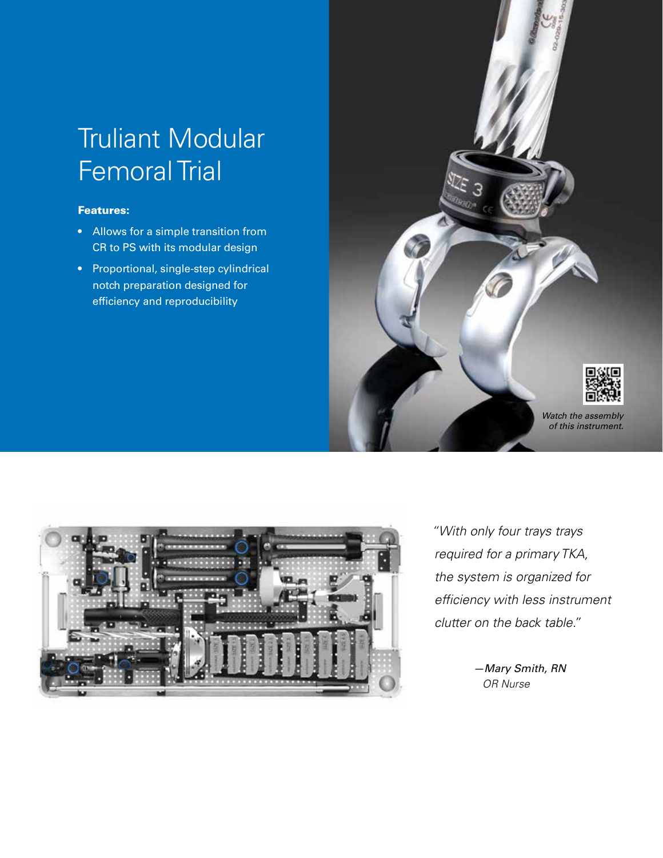## Truliant Modular Femoral Trial

### Features:

- Allows for a simple transition from CR to PS with its modular design
- Proportional, single-step cylindrical notch preparation designed for efficiency and reproducibility





 *"With only four trays trays required for a primary TKA, the system is organized for efficiency with less instrument clutter on the back table."*

> *—Mary Smith, RN OR Nurse*